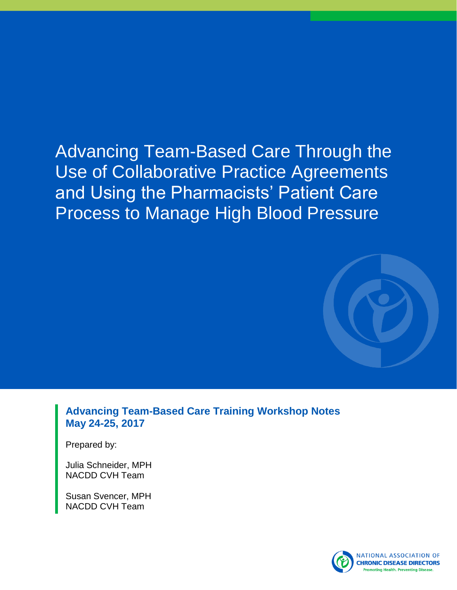# Advancing Team-Based Care Through the Use of Collaborative Practice Agreements and Using the Pharmacists' Patient Care Process to Manage High Blood Pressure



**Advancing Team-Based Care Training Workshop Notes May 24-25, 2017**

Prepared by:

Julia Schneider, MPH NACDD CVH Team

Susan Svencer, MPH NACDD CVH Team

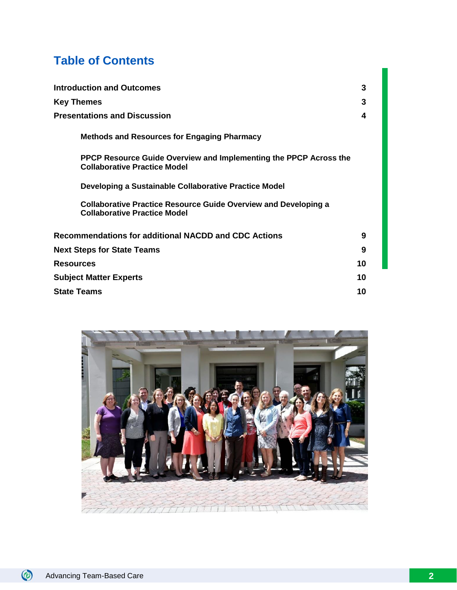# **Table of Contents**

| <b>Introduction and Outcomes</b>                                                                              | 3  |
|---------------------------------------------------------------------------------------------------------------|----|
| Key Themes                                                                                                    | 3  |
| <b>Presentations and Discussion</b>                                                                           | 4  |
| <b>Methods and Resources for Engaging Pharmacy</b>                                                            |    |
| PPCP Resource Guide Overview and Implementing the PPCP Across the<br><b>Collaborative Practice Model</b>      |    |
| Developing a Sustainable Collaborative Practice Model                                                         |    |
| <b>Collaborative Practice Resource Guide Overview and Developing a</b><br><b>Collaborative Practice Model</b> |    |
| <b>Recommendations for additional NACDD and CDC Actions</b>                                                   | 9  |
| <b>Next Steps for State Teams</b>                                                                             | 9  |
| Resources                                                                                                     | 10 |
| <b>Subject Matter Experts</b>                                                                                 | 10 |
| State Teams<br>10                                                                                             |    |

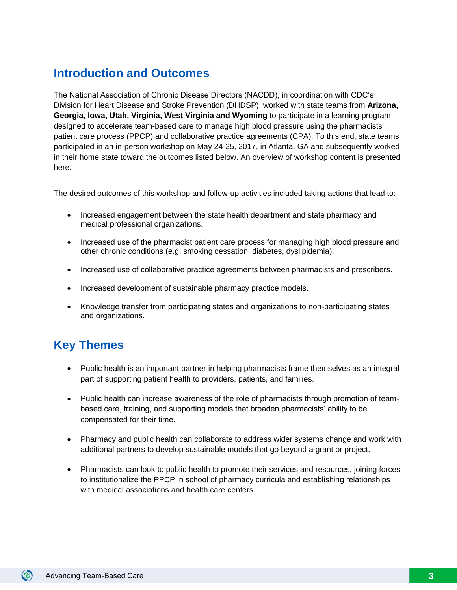## **Introduction and Outcomes**

The National Association of Chronic Disease Directors (NACDD), in coordination with CDC's Division for Heart Disease and Stroke Prevention (DHDSP), worked with state teams from **Arizona, Georgia, Iowa, Utah, Virginia, West Virginia and Wyoming** to participate in a learning program designed to accelerate team-based care to manage high blood pressure using the pharmacists' patient care process (PPCP) and collaborative practice agreements (CPA). To this end, state teams participated in an in-person workshop on May 24-25, 2017, in Atlanta, GA and subsequently worked in their home state toward the outcomes listed below. An overview of workshop content is presented here.

The desired outcomes of this workshop and follow-up activities included taking actions that lead to:

- Increased engagement between the state health department and state pharmacy and medical professional organizations.
- Increased use of the pharmacist patient care process for managing high blood pressure and other chronic conditions (e.g. smoking cessation, diabetes, dyslipidemia).
- Increased use of collaborative practice agreements between pharmacists and prescribers.
- Increased development of sustainable pharmacy practice models.
- Knowledge transfer from participating states and organizations to non-participating states and organizations.

## **Key Themes**

- Public health is an important partner in helping pharmacists frame themselves as an integral part of supporting patient health to providers, patients, and families.
- Public health can increase awareness of the role of pharmacists through promotion of teambased care, training, and supporting models that broaden pharmacists' ability to be compensated for their time.
- Pharmacy and public health can collaborate to address wider systems change and work with additional partners to develop sustainable models that go beyond a grant or project.
- Pharmacists can look to public health to promote their services and resources, joining forces to institutionalize the PPCP in school of pharmacy curricula and establishing relationships with medical associations and health care centers.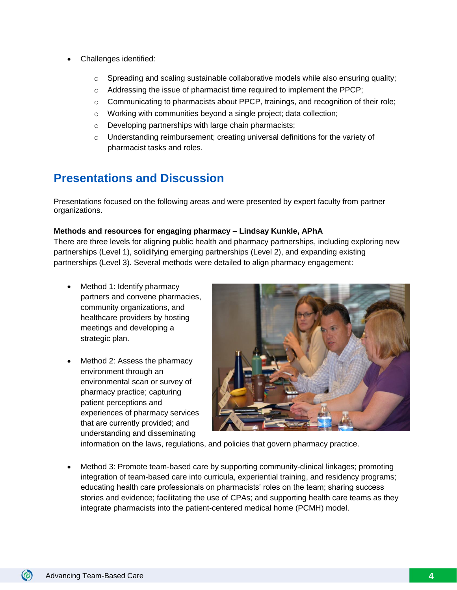- Challenges identified:
	- $\circ$  Spreading and scaling sustainable collaborative models while also ensuring quality;
	- o Addressing the issue of pharmacist time required to implement the PPCP;
	- $\circ$  Communicating to pharmacists about PPCP, trainings, and recognition of their role;
	- o Working with communities beyond a single project; data collection;
	- o Developing partnerships with large chain pharmacists;
	- $\circ$  Understanding reimbursement; creating universal definitions for the variety of pharmacist tasks and roles.

## **Presentations and Discussion**

Presentations focused on the following areas and were presented by expert faculty from partner organizations.

#### **Methods and resources for engaging pharmacy – Lindsay Kunkle, APhA**

There are three levels for aligning public health and pharmacy partnerships, including exploring new partnerships (Level 1), solidifying emerging partnerships (Level 2), and expanding existing partnerships (Level 3). Several methods were detailed to align pharmacy engagement:

- Method 1: Identify pharmacy partners and convene pharmacies, community organizations, and healthcare providers by hosting meetings and developing a strategic plan.
- Method 2: Assess the pharmacy environment through an environmental scan or survey of pharmacy practice; capturing patient perceptions and experiences of pharmacy services that are currently provided; and understanding and disseminating



information on the laws, regulations, and policies that govern pharmacy practice.

• Method 3: Promote team-based care by supporting community-clinical linkages; promoting integration of team-based care into curricula, experiential training, and residency programs; educating health care professionals on pharmacists' roles on the team; sharing success stories and evidence; facilitating the use of CPAs; and supporting health care teams as they integrate pharmacists into the patient-centered medical home (PCMH) model.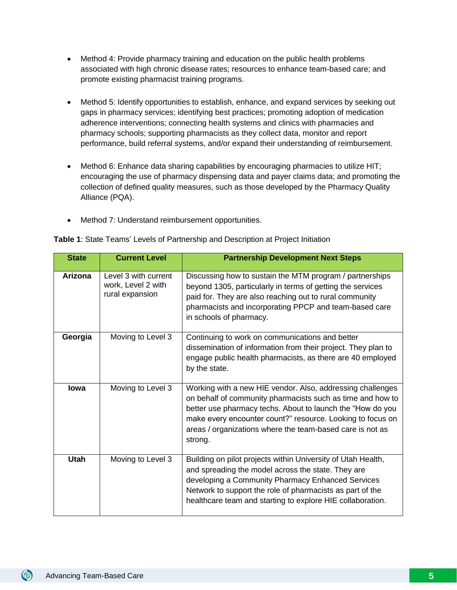- Method 4: Provide pharmacy training and education on the public health problems associated with high chronic disease rates; resources to enhance team-based care; and promote existing pharmacist training programs.
- Method 5: Identify opportunities to establish, enhance, and expand services by seeking out gaps in pharmacy services; identifying best practices; promoting adoption of medication adherence interventions; connecting health systems and clinics with pharmacies and pharmacy schools; supporting pharmacists as they collect data, monitor and report performance, build referral systems, and/or expand their understanding of reimbursement.
- Method 6: Enhance data sharing capabilities by encouraging pharmacies to utilize HIT; encouraging the use of pharmacy dispensing data and payer claims data; and promoting the collection of defined quality measures, such as those developed by the Pharmacy Quality Alliance (PQA).
- Method 7: Understand reimbursement opportunities.

| <b>State</b>   | <b>Current Level</b>                                          | <b>Partnership Development Next Steps</b>                                                                                                                                                                                                                                                                                    |
|----------------|---------------------------------------------------------------|------------------------------------------------------------------------------------------------------------------------------------------------------------------------------------------------------------------------------------------------------------------------------------------------------------------------------|
| <b>Arizona</b> | Level 3 with current<br>work, Level 2 with<br>rural expansion | Discussing how to sustain the MTM program / partnerships<br>beyond 1305, particularly in terms of getting the services<br>paid for. They are also reaching out to rural community<br>pharmacists and incorporating PPCP and team-based care<br>in schools of pharmacy.                                                       |
| Georgia        | Moving to Level 3                                             | Continuing to work on communications and better<br>dissemination of information from their project. They plan to<br>engage public health pharmacists, as there are 40 employed<br>by the state.                                                                                                                              |
| lowa           | Moving to Level 3                                             | Working with a new HIE vendor. Also, addressing challenges<br>on behalf of community pharmacists such as time and how to<br>better use pharmacy techs. About to launch the "How do you<br>make every encounter count?" resource. Looking to focus on<br>areas / organizations where the team-based care is not as<br>strong. |
| <b>Utah</b>    | Moving to Level 3                                             | Building on pilot projects within University of Utah Health,<br>and spreading the model across the state. They are<br>developing a Community Pharmacy Enhanced Services<br>Network to support the role of pharmacists as part of the<br>healthcare team and starting to explore HIE collaboration.                           |

**Table 1**: State Teams' Levels of Partnership and Description at Project Initiation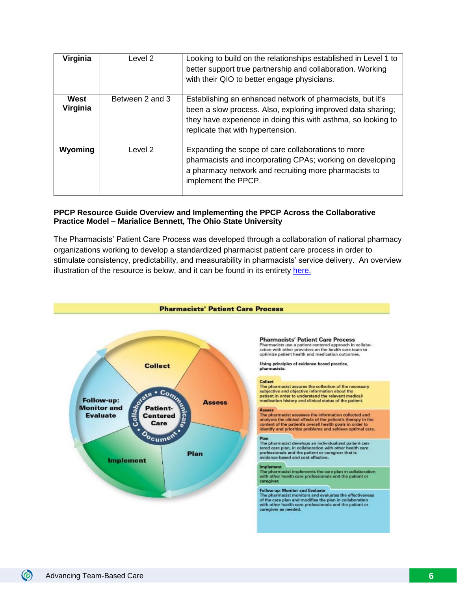| Virginia         | Level 2         | Looking to build on the relationships established in Level 1 to<br>better support true partnership and collaboration. Working<br>with their QIO to better engage physicians.                                                   |
|------------------|-----------------|--------------------------------------------------------------------------------------------------------------------------------------------------------------------------------------------------------------------------------|
| West<br>Virginia | Between 2 and 3 | Establishing an enhanced network of pharmacists, but it's<br>been a slow process. Also, exploring improved data sharing;<br>they have experience in doing this with asthma, so looking to<br>replicate that with hypertension. |
| Wyoming          | Level 2         | Expanding the scope of care collaborations to more<br>pharmacists and incorporating CPAs; working on developing<br>a pharmacy network and recruiting more pharmacists to<br>implement the PPCP.                                |

#### **PPCP Resource Guide Overview and Implementing the PPCP Across the Collaborative Practice Model – Marialice Bennett, The Ohio State University**

The Pharmacists' Patient Care Process was developed through a collaboration of national pharmacy organizations working to develop a standardized pharmacist patient care process in order to stimulate consistency, predictability, and measurability in pharmacists' service delivery. An overview illustration of the resource is below, and it can be found in its entirety [here.](https://www.cdc.gov/dhdsp/pubs/docs/pharmacist-resource-guide.pdf)

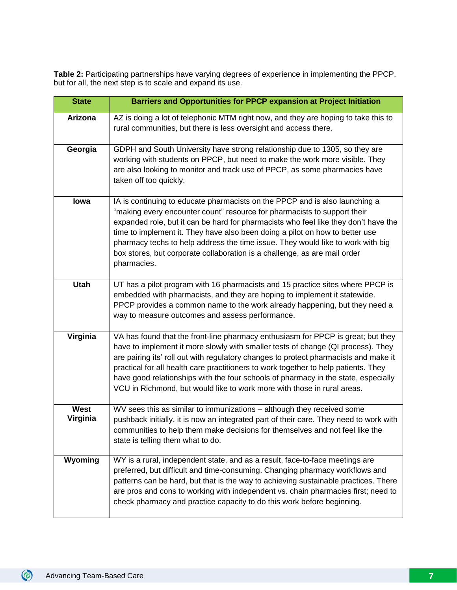**Table 2:** Participating partnerships have varying degrees of experience in implementing the PPCP, but for all, the next step is to scale and expand its use.

| <b>State</b>     | <b>Barriers and Opportunities for PPCP expansion at Project Initiation</b>                                                                                                                                                                                                                                                                                                                                                                                                                                           |
|------------------|----------------------------------------------------------------------------------------------------------------------------------------------------------------------------------------------------------------------------------------------------------------------------------------------------------------------------------------------------------------------------------------------------------------------------------------------------------------------------------------------------------------------|
| Arizona          | AZ is doing a lot of telephonic MTM right now, and they are hoping to take this to<br>rural communities, but there is less oversight and access there.                                                                                                                                                                                                                                                                                                                                                               |
| Georgia          | GDPH and South University have strong relationship due to 1305, so they are<br>working with students on PPCP, but need to make the work more visible. They<br>are also looking to monitor and track use of PPCP, as some pharmacies have<br>taken off too quickly.                                                                                                                                                                                                                                                   |
| lowa             | IA is continuing to educate pharmacists on the PPCP and is also launching a<br>"making every encounter count" resource for pharmacists to support their<br>expanded role, but it can be hard for pharmacists who feel like they don't have the<br>time to implement it. They have also been doing a pilot on how to better use<br>pharmacy techs to help address the time issue. They would like to work with big<br>box stores, but corporate collaboration is a challenge, as are mail order<br>pharmacies.        |
| <b>Utah</b>      | UT has a pilot program with 16 pharmacists and 15 practice sites where PPCP is<br>embedded with pharmacists, and they are hoping to implement it statewide.<br>PPCP provides a common name to the work already happening, but they need a<br>way to measure outcomes and assess performance.                                                                                                                                                                                                                         |
| Virginia         | VA has found that the front-line pharmacy enthusiasm for PPCP is great; but they<br>have to implement it more slowly with smaller tests of change (QI process). They<br>are pairing its' roll out with regulatory changes to protect pharmacists and make it<br>practical for all health care practitioners to work together to help patients. They<br>have good relationships with the four schools of pharmacy in the state, especially<br>VCU in Richmond, but would like to work more with those in rural areas. |
| West<br>Virginia | WV sees this as similar to immunizations - although they received some<br>pushback initially, it is now an integrated part of their care. They need to work with<br>communities to help them make decisions for themselves and not feel like the<br>state is telling them what to do.                                                                                                                                                                                                                                |
| Wyoming          | WY is a rural, independent state, and as a result, face-to-face meetings are<br>preferred, but difficult and time-consuming. Changing pharmacy workflows and<br>patterns can be hard, but that is the way to achieving sustainable practices. There<br>are pros and cons to working with independent vs. chain pharmacies first; need to<br>check pharmacy and practice capacity to do this work before beginning.                                                                                                   |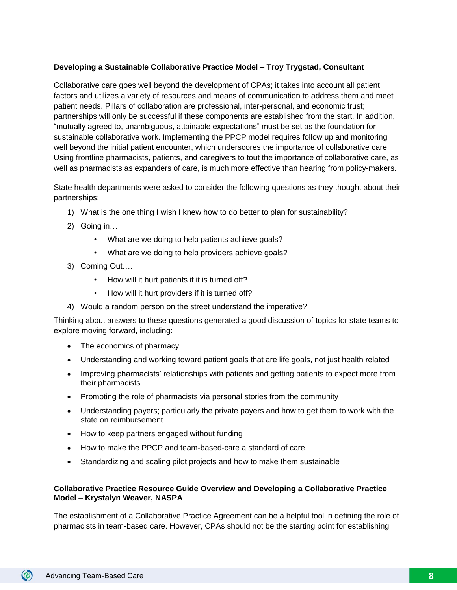#### **Developing a Sustainable Collaborative Practice Model – Troy Trygstad, Consultant**

Collaborative care goes well beyond the development of CPAs; it takes into account all patient factors and utilizes a variety of resources and means of communication to address them and meet patient needs. Pillars of collaboration are professional, inter-personal, and economic trust; partnerships will only be successful if these components are established from the start. In addition, "mutually agreed to, unambiguous, attainable expectations" must be set as the foundation for sustainable collaborative work. Implementing the PPCP model requires follow up and monitoring well beyond the initial patient encounter, which underscores the importance of collaborative care. Using frontline pharmacists, patients, and caregivers to tout the importance of collaborative care, as well as pharmacists as expanders of care, is much more effective than hearing from policy-makers.

State health departments were asked to consider the following questions as they thought about their partnerships:

- 1) What is the one thing I wish I knew how to do better to plan for sustainability?
- 2) Going in…
	- What are we doing to help patients achieve goals?
	- What are we doing to help providers achieve goals?
- 3) Coming Out….
	- How will it hurt patients if it is turned off?
	- How will it hurt providers if it is turned off?
- 4) Would a random person on the street understand the imperative?

Thinking about answers to these questions generated a good discussion of topics for state teams to explore moving forward, including:

- The economics of pharmacy
- Understanding and working toward patient goals that are life goals, not just health related
- Improving pharmacists' relationships with patients and getting patients to expect more from their pharmacists
- Promoting the role of pharmacists via personal stories from the community
- Understanding payers; particularly the private payers and how to get them to work with the state on reimbursement
- How to keep partners engaged without funding
- How to make the PPCP and team-based-care a standard of care
- Standardizing and scaling pilot projects and how to make them sustainable

#### **Collaborative Practice Resource Guide Overview and Developing a Collaborative Practice Model – Krystalyn Weaver, NASPA**

The establishment of a Collaborative Practice Agreement can be a helpful tool in defining the role of pharmacists in team-based care. However, CPAs should not be the starting point for establishing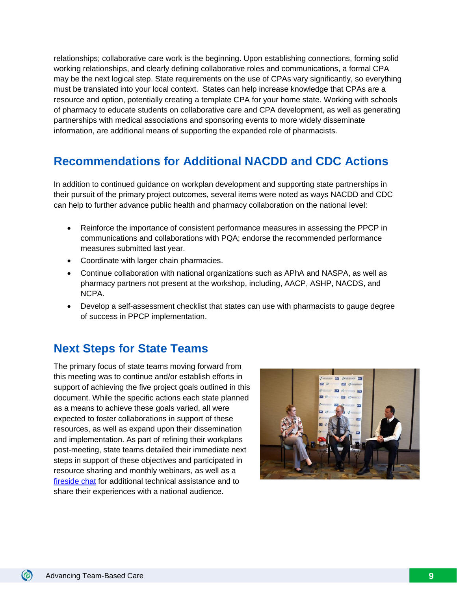relationships; collaborative care work is the beginning. Upon establishing connections, forming solid working relationships, and clearly defining collaborative roles and communications, a formal CPA may be the next logical step. State requirements on the use of CPAs vary significantly, so everything must be translated into your local context. States can help increase knowledge that CPAs are a resource and option, potentially creating a template CPA for your home state. Working with schools of pharmacy to educate students on collaborative care and CPA development, as well as generating partnerships with medical associations and sponsoring events to more widely disseminate information, are additional means of supporting the expanded role of pharmacists.

### **Recommendations for Additional NACDD and CDC Actions**

In addition to continued guidance on workplan development and supporting state partnerships in their pursuit of the primary project outcomes, several items were noted as ways NACDD and CDC can help to further advance public health and pharmacy collaboration on the national level:

- Reinforce the importance of consistent performance measures in assessing the PPCP in communications and collaborations with PQA; endorse the recommended performance measures submitted last year.
- Coordinate with larger chain pharmacies.
- Continue collaboration with national organizations such as APhA and NASPA, as well as pharmacy partners not present at the workshop, including, AACP, ASHP, NACDS, and NCPA.
- Develop a self-assessment checklist that states can use with pharmacists to gauge degree of success in PPCP implementation.

### **Next Steps for State Teams**

The primary focus of state teams moving forward from this meeting was to continue and/or establish efforts in support of achieving the five project goals outlined in this document. While the specific actions each state planned as a means to achieve these goals varied, all were expected to foster collaborations in support of these resources, as well as expand upon their dissemination and implementation. As part of refining their workplans post-meeting, state teams detailed their immediate next steps in support of these objectives and participated in resource sharing and monthly webinars, as well as a [fireside chat](http://www.chronicdisease.org/?page=CVHWebinars) for additional technical assistance and to share their experiences with a national audience.

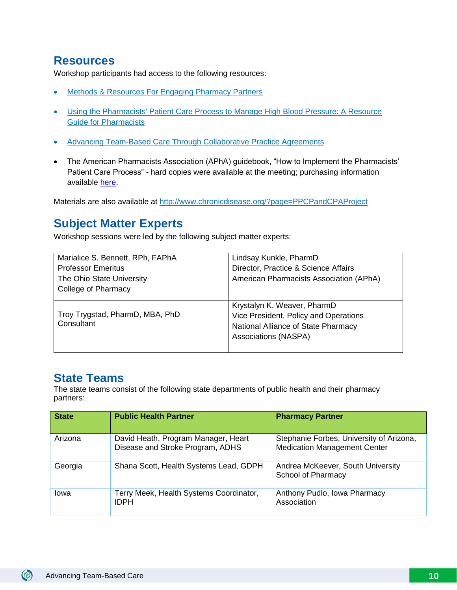### **Resources**

Workshop participants had access to the following resources:

- Methods & [Resources For Engaging Pharmacy Partners](https://www.cdc.gov/dhdsp/pubs/docs/engaging-pharmacy-partners-guide.pdf)
- Using the Pharmacists' Patient Care Process to Manage High Blood Pressure: A Resource [Guide for Pharmacists](https://www.cdc.gov/dhdsp/pubs/docs/pharmacist-resource-guide.pdf)
- [Advancing Team-Based Care Through Collaborative Practice Agreements](https://www.cdc.gov/dhdsp/pubs/docs/CPA-Team-Based-Care.pdf)
- The American Pharmacists Association (APhA) guidebook, "How to Implement the Pharmacists' Patient Care Process" - hard copies were available at the meeting; purchasing information available [here.](https://www.pharmacist.com/apha-publishes-guidebook-implementing-pharmacists-patient-care-process)

Materials are also available at<http://www.chronicdisease.org/?page=PPCPandCPAProject>

### **Subject Matter Experts**

Workshop sessions were led by the following subject matter experts:

| Marialice S. Bennett, RPh, FAPhA              | Lindsay Kunkle, PharmD                                                                                      |
|-----------------------------------------------|-------------------------------------------------------------------------------------------------------------|
| <b>Professor Emeritus</b>                     | Director, Practice & Science Affairs                                                                        |
| The Ohio State University                     | American Pharmacists Association (APhA)                                                                     |
| College of Pharmacy                           |                                                                                                             |
|                                               | Krystalyn K. Weaver, PharmD                                                                                 |
| Troy Trygstad, PharmD, MBA, PhD<br>Consultant | Vice President, Policy and Operations<br>National Alliance of State Pharmacy<br><b>Associations (NASPA)</b> |
|                                               |                                                                                                             |

### **State Teams**

The state teams consist of the following state departments of public health and their pharmacy partners:

| <b>State</b> | <b>Public Health Partner</b>                                            | <b>Pharmacy Partner</b>                                                         |
|--------------|-------------------------------------------------------------------------|---------------------------------------------------------------------------------|
| Arizona      | David Heath, Program Manager, Heart<br>Disease and Stroke Program, ADHS | Stephanie Forbes, University of Arizona,<br><b>Medication Management Center</b> |
| Georgia      | Shana Scott, Health Systems Lead, GDPH                                  | Andrea McKeever, South University<br>School of Pharmacy                         |
| Iowa         | Terry Meek, Health Systems Coordinator,<br><b>IDPH</b>                  | Anthony Pudlo, Iowa Pharmacy<br>Association                                     |